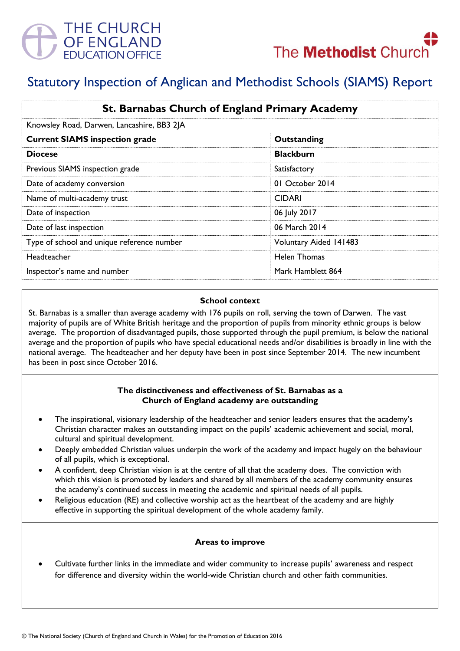



# Statutory Inspection of Anglican and Methodist Schools (SIAMS) Report

| St. Barnabas Church of England Primary Academy |                        |
|------------------------------------------------|------------------------|
| Knowsley Road, Darwen, Lancashire, BB3 2JA     |                        |
| <b>Current SIAMS inspection grade</b>          | Outstanding            |
| <b>Diocese</b>                                 | <b>Blackburn</b>       |
| Previous SIAMS inspection grade                | Satisfactory           |
| Date of academy conversion                     | 01 October 2014        |
| Name of multi-academy trust                    | <b>CIDARI</b>          |
| Date of inspection                             | 06 July 2017           |
| Date of last inspection                        | 06 March 2014          |
| Type of school and unique reference number     | Voluntary Aided 141483 |
| Headteacher                                    | Helen Thomas           |
| Inspector's name and number                    | Mark Hamblett 864      |

#### **School context**

St. Barnabas is a smaller than average academy with 176 pupils on roll, serving the town of Darwen. The vast majority of pupils are of White British heritage and the proportion of pupils from minority ethnic groups is below average. The proportion of disadvantaged pupils, those supported through the pupil premium, is below the national average and the proportion of pupils who have special educational needs and/or disabilities is broadly in line with the national average. The headteacher and her deputy have been in post since September 2014. The new incumbent has been in post since October 2016.

#### **The distinctiveness and effectiveness of St. Barnabas as a Church of England academy are outstanding**

- The inspirational, visionary leadership of the headteacher and senior leaders ensures that the academy's Christian character makes an outstanding impact on the pupils' academic achievement and social, moral, cultural and spiritual development.
- Deeply embedded Christian values underpin the work of the academy and impact hugely on the behaviour of all pupils, which is exceptional.
- A confident, deep Christian vision is at the centre of all that the academy does. The conviction with which this vision is promoted by leaders and shared by all members of the academy community ensures the academy's continued success in meeting the academic and spiritual needs of all pupils.
- Religious education (RE) and collective worship act as the heartbeat of the academy and are highly effective in supporting the spiritual development of the whole academy family.

# **Areas to improve**

 Cultivate further links in the immediate and wider community to increase pupils' awareness and respect for difference and diversity within the world-wide Christian church and other faith communities.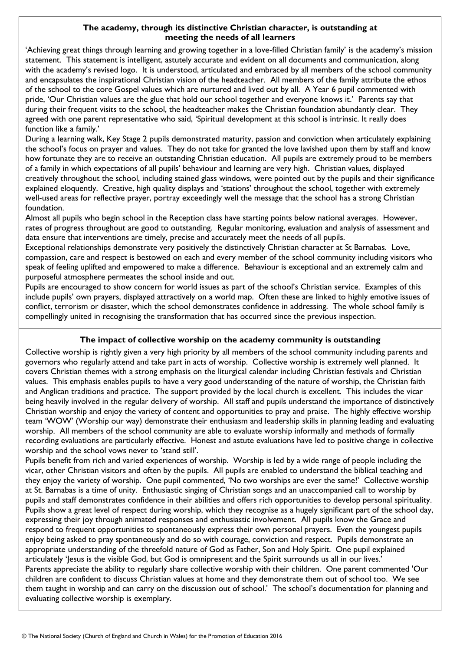### **The academy, through its distinctive Christian character, is outstanding at meeting the needs of all learners**

'Achieving great things through learning and growing together in a love-filled Christian family' is the academy's mission statement. This statement is intelligent, astutely accurate and evident on all documents and communication, along with the academy's revised logo. It is understood, articulated and embraced by all members of the school community and encapsulates the inspirational Christian vision of the headteacher. All members of the family attribute the ethos of the school to the core Gospel values which are nurtured and lived out by all. A Year 6 pupil commented with pride, 'Our Christian values are the glue that hold our school together and everyone knows it.' Parents say that during their frequent visits to the school, the headteacher makes the Christian foundation abundantly clear. They agreed with one parent representative who said, 'Spiritual development at this school is intrinsic. It really does function like a family.'

During a learning walk, Key Stage 2 pupils demonstrated maturity, passion and conviction when articulately explaining the school's focus on prayer and values. They do not take for granted the love lavished upon them by staff and know how fortunate they are to receive an outstanding Christian education. All pupils are extremely proud to be members of a family in which expectations of all pupils' behaviour and learning are very high. Christian values, displayed creatively throughout the school, including stained glass windows, were pointed out by the pupils and their significance explained eloquently. Creative, high quality displays and 'stations' throughout the school, together with extremely well-used areas for reflective prayer, portray exceedingly well the message that the school has a strong Christian foundation.

Almost all pupils who begin school in the Reception class have starting points below national averages. However, rates of progress throughout are good to outstanding. Regular monitoring, evaluation and analysis of assessment and data ensure that interventions are timely, precise and accurately meet the needs of all pupils.

Exceptional relationships demonstrate very positively the distinctively Christian character at St Barnabas. Love, compassion, care and respect is bestowed on each and every member of the school community including visitors who speak of feeling uplifted and empowered to make a difference. Behaviour is exceptional and an extremely calm and purposeful atmosphere permeates the school inside and out.

Pupils are encouraged to show concern for world issues as part of the school's Christian service. Examples of this include pupils' own prayers, displayed attractively on a world map. Often these are linked to highly emotive issues of conflict, terrorism or disaster, which the school demonstrates confidence in addressing. The whole school family is compellingly united in recognising the transformation that has occurred since the previous inspection.

# **The impact of collective worship on the academy community is outstanding**

Collective worship is rightly given a very high priority by all members of the school community including parents and governors who regularly attend and take part in acts of worship. Collective worship is extremely well planned. It covers Christian themes with a strong emphasis on the liturgical calendar including Christian festivals and Christian values. This emphasis enables pupils to have a very good understanding of the nature of worship, the Christian faith and Anglican traditions and practice. The support provided by the local church is excellent. This includes the vicar being heavily involved in the regular delivery of worship. All staff and pupils understand the importance of distinctively Christian worship and enjoy the variety of content and opportunities to pray and praise. The highly effective worship team 'WOW' (Worship our way) demonstrate their enthusiasm and leadership skills in planning leading and evaluating worship. All members of the school community are able to evaluate worship informally and methods of formally recording evaluations are particularly effective. Honest and astute evaluations have led to positive change in collective worship and the school vows never to 'stand still'.

Pupils benefit from rich and varied experiences of worship. Worship is led by a wide range of people including the vicar, other Christian visitors and often by the pupils. All pupils are enabled to understand the biblical teaching and they enjoy the variety of worship. One pupil commented, 'No two worships are ever the same!' Collective worship at St. Barnabas is a time of unity. Enthusiastic singing of Christian songs and an unaccompanied call to worship by pupils and staff demonstrates confidence in their abilities and offers rich opportunities to develop personal spirituality. Pupils show a great level of respect during worship, which they recognise as a hugely significant part of the school day, expressing their joy through animated responses and enthusiastic involvement. All pupils know the Grace and respond to frequent opportunities to spontaneously express their own personal prayers. Even the youngest pupils enjoy being asked to pray spontaneously and do so with courage, conviction and respect. Pupils demonstrate an appropriate understanding of the threefold nature of God as Father, Son and Holy Spirit. One pupil explained articulately 'Jesus is the visible God, but God is omnipresent and the Spirit surrounds us all in our lives.' Parents appreciate the ability to regularly share collective worship with their children. One parent commented 'Our children are confident to discuss Christian values at home and they demonstrate them out of school too. We see them taught in worship and can carry on the discussion out of school.' The school's documentation for planning and evaluating collective worship is exemplary.